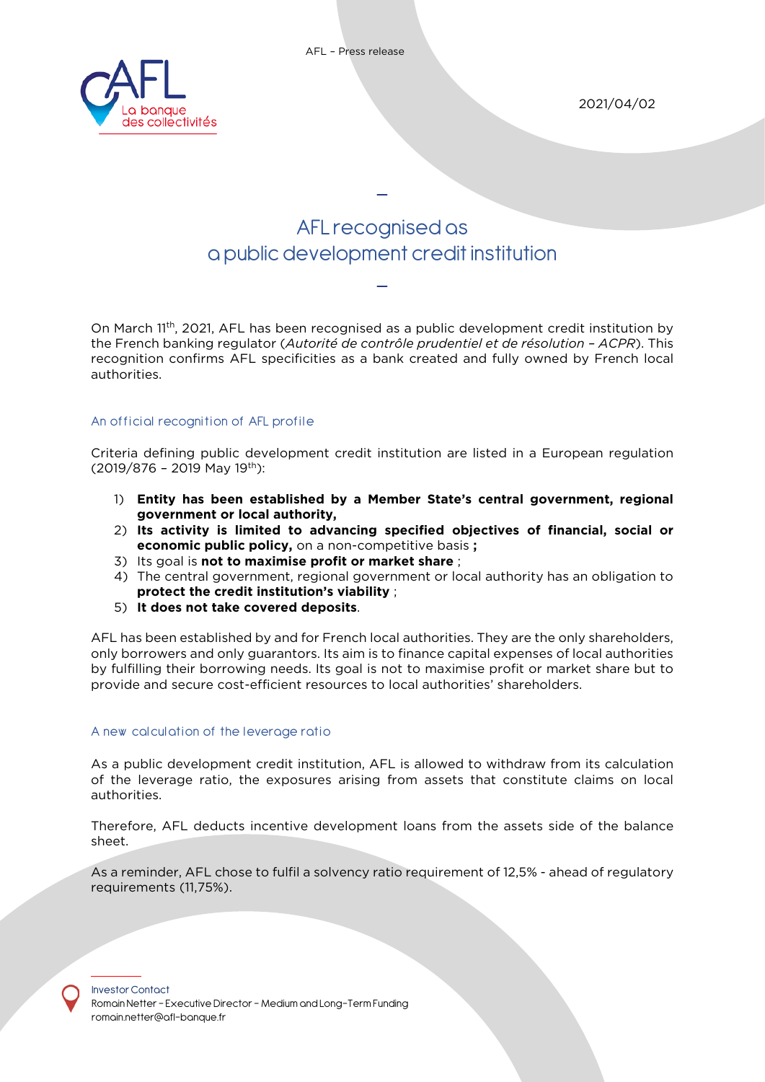

2021/04/02

# AFLrecognised as a public development credit institution

\_

\_

On March 11th, 2021, AFL has been recognised as a public development credit institution by the French banking regulator (*Autorité de contrôle prudentiel et de résolution – ACPR*). This recognition confirms AFL specificities as a bank created and fully owned by French local authorities.

## An official recognition of AFL profile

Criteria defining public development credit institution are listed in a European regulation  $(2019/876 - 2019$  May 19<sup>th</sup>):

- 1) **Entity has been established by a Member State's central government, regional government or local authority,**
- 2) **Its activity is limited to advancing specified objectives of financial, social or economic public policy,** on a non-competitive basis **;**
- 3) Its goal is **not to maximise profit or market share** ;
- 4) The central government, regional government or local authority has an obligation to **protect the credit institution's viability** ;
- 5) **It does not take covered deposits**.

AFL has been established by and for French local authorities. They are the only shareholders, only borrowers and only guarantors. Its aim is to finance capital expenses of local authorities by fulfilling their borrowing needs. Its goal is not to maximise profit or market share but to provide and secure cost-efficient resources to local authorities' shareholders.

### A new calculation of the leverage ratio

As a public development credit institution, AFL is allowed to withdraw from its calculation of the leverage ratio, the exposures arising from assets that constitute claims on local authorities.

Therefore, AFL deducts incentive development loans from the assets side of the balance sheet.

As a reminder, AFL chose to fulfil a solvency ratio requirement of 12,5% - ahead of regulatory requirements (11,75%).

Investor Contact Romain Netter – Executive Director – Medium and Long-Term Funding [romain.netter@afl-banque.fr](mailto:lucille.simon@agence-france-locale.fr)